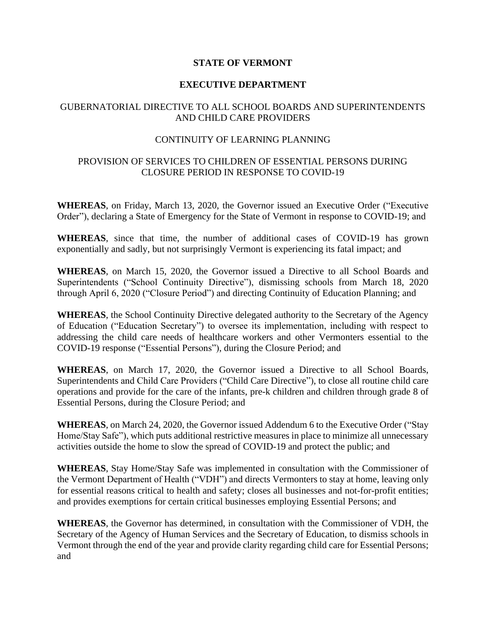### **STATE OF VERMONT**

## **EXECUTIVE DEPARTMENT**

# GUBERNATORIAL DIRECTIVE TO ALL SCHOOL BOARDS AND SUPERINTENDENTS AND CHILD CARE PROVIDERS

### CONTINUITY OF LEARNING PLANNING

# PROVISION OF SERVICES TO CHILDREN OF ESSENTIAL PERSONS DURING CLOSURE PERIOD IN RESPONSE TO COVID-19

**WHEREAS**, on Friday, March 13, 2020, the Governor issued an Executive Order ("Executive Order"), declaring a State of Emergency for the State of Vermont in response to COVID-19; and

**WHEREAS**, since that time, the number of additional cases of COVID-19 has grown exponentially and sadly, but not surprisingly Vermont is experiencing its fatal impact; and

**WHEREAS**, on March 15, 2020, the Governor issued a Directive to all School Boards and Superintendents ("School Continuity Directive"), dismissing schools from March 18, 2020 through April 6, 2020 ("Closure Period") and directing Continuity of Education Planning; and

**WHEREAS**, the School Continuity Directive delegated authority to the Secretary of the Agency of Education ("Education Secretary") to oversee its implementation, including with respect to addressing the child care needs of healthcare workers and other Vermonters essential to the COVID-19 response ("Essential Persons"), during the Closure Period; and

**WHEREAS**, on March 17, 2020, the Governor issued a Directive to all School Boards, Superintendents and Child Care Providers ("Child Care Directive"), to close all routine child care operations and provide for the care of the infants, pre-k children and children through grade 8 of Essential Persons, during the Closure Period; and

**WHEREAS**, on March 24, 2020, the Governor issued Addendum 6 to the Executive Order ("Stay Home/Stay Safe"), which puts additional restrictive measures in place to minimize all unnecessary activities outside the home to slow the spread of COVID-19 and protect the public; and

**WHEREAS**, Stay Home/Stay Safe was implemented in consultation with the Commissioner of the Vermont Department of Health ("VDH") and directs Vermonters to stay at home, leaving only for essential reasons critical to health and safety; closes all businesses and not-for-profit entities; and provides exemptions for certain critical businesses employing Essential Persons; and

**WHEREAS**, the Governor has determined, in consultation with the Commissioner of VDH, the Secretary of the Agency of Human Services and the Secretary of Education, to dismiss schools in Vermont through the end of the year and provide clarity regarding child care for Essential Persons; and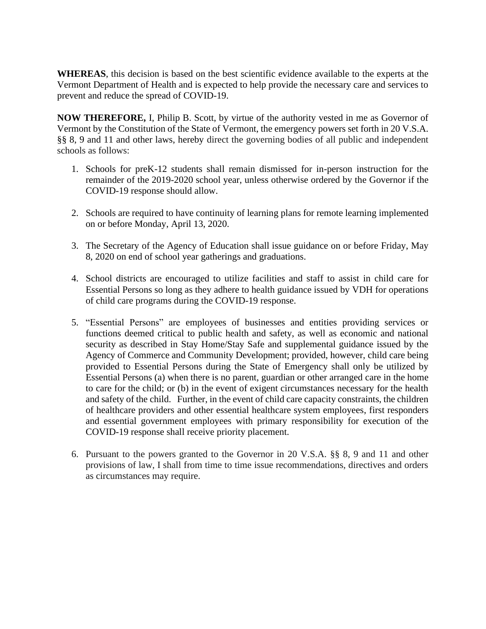**WHEREAS**, this decision is based on the best scientific evidence available to the experts at the Vermont Department of Health and is expected to help provide the necessary care and services to prevent and reduce the spread of COVID-19.

**NOW THEREFORE,** I, Philip B. Scott, by virtue of the authority vested in me as Governor of Vermont by the Constitution of the State of Vermont, the emergency powers set forth in 20 V.S.A. §§ 8, 9 and 11 and other laws, hereby direct the governing bodies of all public and independent schools as follows:

- 1. Schools for preK-12 students shall remain dismissed for in-person instruction for the remainder of the 2019-2020 school year, unless otherwise ordered by the Governor if the COVID-19 response should allow.
- 2. Schools are required to have continuity of learning plans for remote learning implemented on or before Monday, April 13, 2020.
- 3. The Secretary of the Agency of Education shall issue guidance on or before Friday, May 8, 2020 on end of school year gatherings and graduations.
- 4. School districts are encouraged to utilize facilities and staff to assist in child care for Essential Persons so long as they adhere to health guidance issued by VDH for operations of child care programs during the COVID-19 response.
- 5. "Essential Persons" are employees of businesses and entities providing services or functions deemed critical to public health and safety, as well as economic and national security as described in Stay Home/Stay Safe and supplemental guidance issued by the Agency of Commerce and Community Development; provided, however, child care being provided to Essential Persons during the State of Emergency shall only be utilized by Essential Persons (a) when there is no parent, guardian or other arranged care in the home to care for the child; or (b) in the event of exigent circumstances necessary for the health and safety of the child. Further, in the event of child care capacity constraints, the children of healthcare providers and other essential healthcare system employees, first responders and essential government employees with primary responsibility for execution of the COVID-19 response shall receive priority placement.
- 6. Pursuant to the powers granted to the Governor in 20 V.S.A. §§ 8, 9 and 11 and other provisions of law, I shall from time to time issue recommendations, directives and orders as circumstances may require.